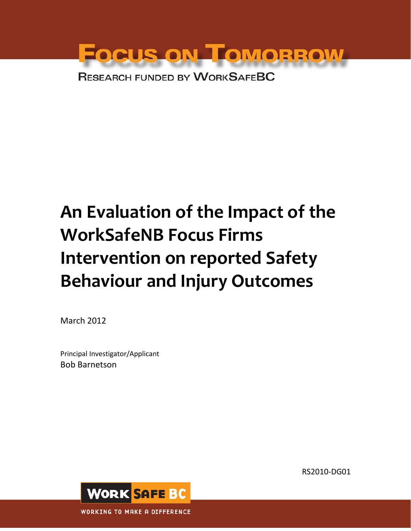

# **An Evaluation of the Impact of the WorkSafeNB Focus Firms Intervention on reported Safety Behaviour and Injury Outcomes**

March 2012

Principal Investigator/Applicant Bob Barnetson

RS2010-DG01

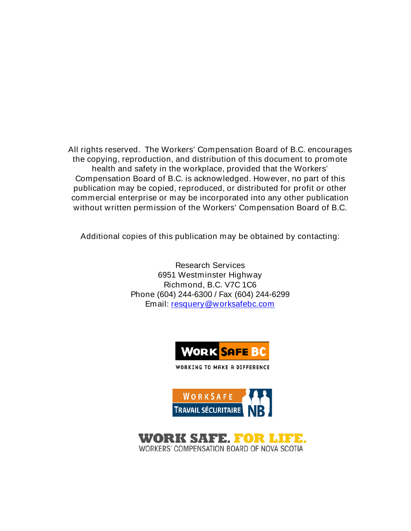All rights reserved. The Workers' Compensation Board of B.C. encourages the copying, reproduction, and distribution of this document to promote health and safety in the workplace, provided that the Workers' Compensation Board of B.C. is acknowledged. However, no part of this publication may be copied, reproduced, or distributed for profit or other commercial enterprise or may be incorporated into any other publication without written permission of the Workers' Compensation Board of B.C.

Additional copies of this publication may be obtained by contacting:

Research Services 6951 Westminster Highway Richmond, B.C. V7C 1C6 Phone (604) 244-6300 / Fax (604) 244-6299 Email: [resquery@worksafebc.com](mailto:resquery@worksafebc.com)



WORKING TO MAKE A DIFFERENCE



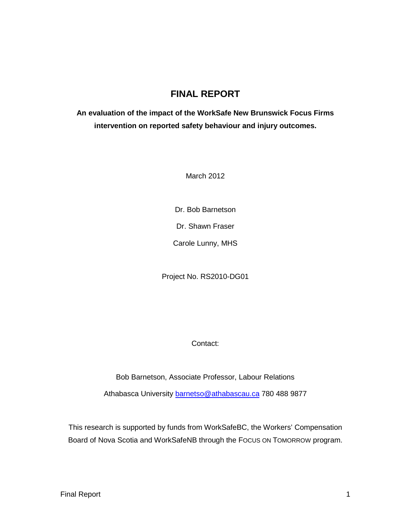## **FINAL REPORT**

## **An evaluation of the impact of the WorkSafe New Brunswick Focus Firms intervention on reported safety behaviour and injury outcomes.**

March 2012

Dr. Bob Barnetson

Dr. Shawn Fraser

Carole Lunny, MHS

Project No. RS2010-DG01

Contact:

Bob Barnetson, Associate Professor, Labour Relations

Athabasca University [barnetso@athabascau.ca](mailto:barnetso@athabascau.ca) 780 488 9877

This research is supported by funds from WorkSafeBC, the Workers' Compensation Board of Nova Scotia and WorkSafeNB through the FOCUS ON TOMORROW program.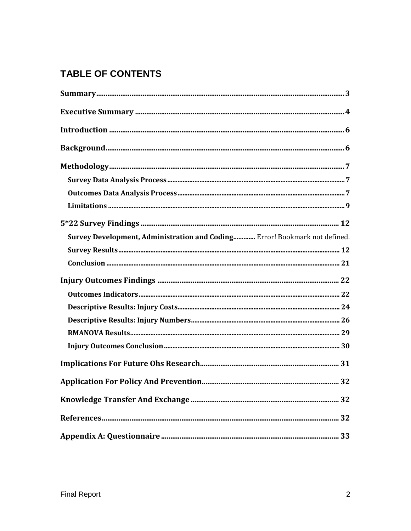## **TABLE OF CONTENTS**

| Survey Development, Administration and Coding Error! Bookmark not defined. |  |
|----------------------------------------------------------------------------|--|
|                                                                            |  |
|                                                                            |  |
|                                                                            |  |
|                                                                            |  |
|                                                                            |  |
|                                                                            |  |
|                                                                            |  |
|                                                                            |  |
|                                                                            |  |
|                                                                            |  |
|                                                                            |  |
|                                                                            |  |
|                                                                            |  |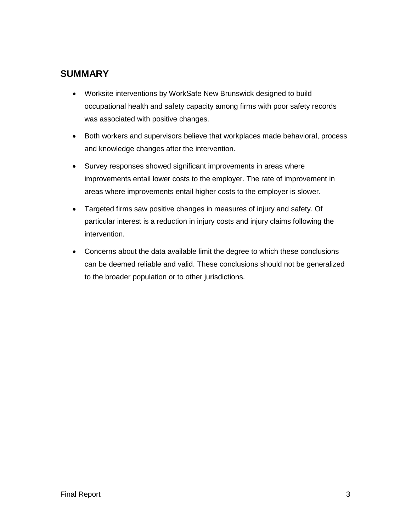## **SUMMARY**

- Worksite interventions by WorkSafe New Brunswick designed to build occupational health and safety capacity among firms with poor safety records was associated with positive changes.
- Both workers and supervisors believe that workplaces made behavioral, process and knowledge changes after the intervention.
- Survey responses showed significant improvements in areas where improvements entail lower costs to the employer. The rate of improvement in areas where improvements entail higher costs to the employer is slower.
- Targeted firms saw positive changes in measures of injury and safety. Of particular interest is a reduction in injury costs and injury claims following the intervention.
- Concerns about the data available limit the degree to which these conclusions can be deemed reliable and valid. These conclusions should not be generalized to the broader population or to other jurisdictions.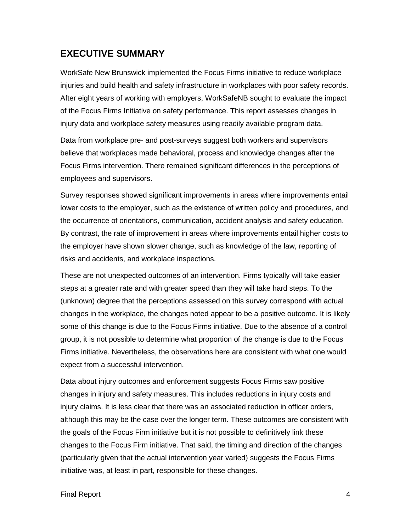## **EXECUTIVE SUMMARY**

WorkSafe New Brunswick implemented the Focus Firms initiative to reduce workplace injuries and build health and safety infrastructure in workplaces with poor safety records. After eight years of working with employers, WorkSafeNB sought to evaluate the impact of the Focus Firms Initiative on safety performance. This report assesses changes in injury data and workplace safety measures using readily available program data.

Data from workplace pre- and post-surveys suggest both workers and supervisors believe that workplaces made behavioral, process and knowledge changes after the Focus Firms intervention. There remained significant differences in the perceptions of employees and supervisors.

Survey responses showed significant improvements in areas where improvements entail lower costs to the employer, such as the existence of written policy and procedures, and the occurrence of orientations, communication, accident analysis and safety education. By contrast, the rate of improvement in areas where improvements entail higher costs to the employer have shown slower change, such as knowledge of the law, reporting of risks and accidents, and workplace inspections.

These are not unexpected outcomes of an intervention. Firms typically will take easier steps at a greater rate and with greater speed than they will take hard steps. To the (unknown) degree that the perceptions assessed on this survey correspond with actual changes in the workplace, the changes noted appear to be a positive outcome. It is likely some of this change is due to the Focus Firms initiative. Due to the absence of a control group, it is not possible to determine what proportion of the change is due to the Focus Firms initiative. Nevertheless, the observations here are consistent with what one would expect from a successful intervention.

Data about injury outcomes and enforcement suggests Focus Firms saw positive changes in injury and safety measures. This includes reductions in injury costs and injury claims. It is less clear that there was an associated reduction in officer orders, although this may be the case over the longer term. These outcomes are consistent with the goals of the Focus Firm initiative but it is not possible to definitively link these changes to the Focus Firm initiative. That said, the timing and direction of the changes (particularly given that the actual intervention year varied) suggests the Focus Firms initiative was, at least in part, responsible for these changes.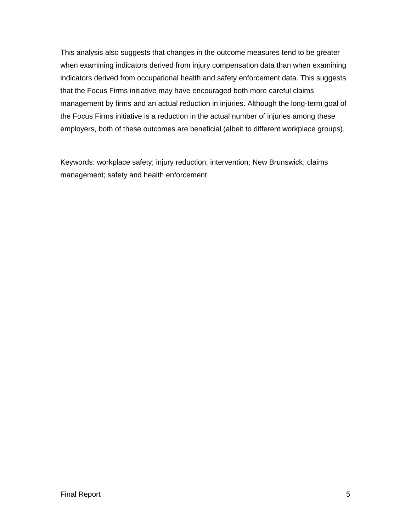This analysis also suggests that changes in the outcome measures tend to be greater when examining indicators derived from injury compensation data than when examining indicators derived from occupational health and safety enforcement data. This suggests that the Focus Firms initiative may have encouraged both more careful claims management by firms and an actual reduction in injuries. Although the long-term goal of the Focus Firms initiative is a reduction in the actual number of injuries among these employers, both of these outcomes are beneficial (albeit to different workplace groups).

Keywords: workplace safety; injury reduction; intervention; New Brunswick; claims management; safety and health enforcement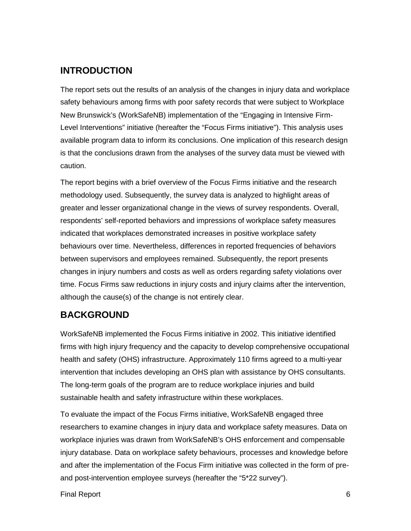## **INTRODUCTION**

The report sets out the results of an analysis of the changes in injury data and workplace safety behaviours among firms with poor safety records that were subject to Workplace New Brunswick's (WorkSafeNB) implementation of the "Engaging in Intensive Firm-Level Interventions" initiative (hereafter the "Focus Firms initiative"). This analysis uses available program data to inform its conclusions. One implication of this research design is that the conclusions drawn from the analyses of the survey data must be viewed with caution.

The report begins with a brief overview of the Focus Firms initiative and the research methodology used. Subsequently, the survey data is analyzed to highlight areas of greater and lesser organizational change in the views of survey respondents. Overall, respondents' self-reported behaviors and impressions of workplace safety measures indicated that workplaces demonstrated increases in positive workplace safety behaviours over time. Nevertheless, differences in reported frequencies of behaviors between supervisors and employees remained. Subsequently, the report presents changes in injury numbers and costs as well as orders regarding safety violations over time. Focus Firms saw reductions in injury costs and injury claims after the intervention, although the cause(s) of the change is not entirely clear.

## **BACKGROUND**

WorkSafeNB implemented the Focus Firms initiative in 2002. This initiative identified firms with high injury frequency and the capacity to develop comprehensive occupational health and safety (OHS) infrastructure. Approximately 110 firms agreed to a multi-year intervention that includes developing an OHS plan with assistance by OHS consultants. The long-term goals of the program are to reduce workplace injuries and build sustainable health and safety infrastructure within these workplaces.

To evaluate the impact of the Focus Firms initiative, WorkSafeNB engaged three researchers to examine changes in injury data and workplace safety measures. Data on workplace injuries was drawn from WorkSafeNB's OHS enforcement and compensable injury database. Data on workplace safety behaviours, processes and knowledge before and after the implementation of the Focus Firm initiative was collected in the form of preand post-intervention employee surveys (hereafter the "5\*22 survey").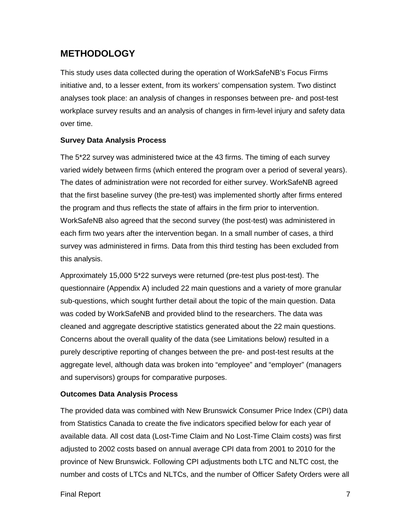## **METHODOLOGY**

This study uses data collected during the operation of WorkSafeNB's Focus Firms initiative and, to a lesser extent, from its workers' compensation system. Two distinct analyses took place: an analysis of changes in responses between pre- and post-test workplace survey results and an analysis of changes in firm-level injury and safety data over time.

#### **Survey Data Analysis Process**

The 5\*22 survey was administered twice at the 43 firms. The timing of each survey varied widely between firms (which entered the program over a period of several years). The dates of administration were not recorded for either survey. WorkSafeNB agreed that the first baseline survey (the pre-test) was implemented shortly after firms entered the program and thus reflects the state of affairs in the firm prior to intervention. WorkSafeNB also agreed that the second survey (the post-test) was administered in each firm two years after the intervention began. In a small number of cases, a third survey was administered in firms. Data from this third testing has been excluded from this analysis.

Approximately 15,000 5\*22 surveys were returned (pre-test plus post-test). The questionnaire (Appendix A) included 22 main questions and a variety of more granular sub-questions, which sought further detail about the topic of the main question. Data was coded by WorkSafeNB and provided blind to the researchers. The data was cleaned and aggregate descriptive statistics generated about the 22 main questions. Concerns about the overall quality of the data (see Limitations below) resulted in a purely descriptive reporting of changes between the pre- and post-test results at the aggregate level, although data was broken into "employee" and "employer" (managers and supervisors) groups for comparative purposes.

#### **Outcomes Data Analysis Process**

The provided data was combined with New Brunswick Consumer Price Index (CPI) data from Statistics Canada to create the five indicators specified below for each year of available data. All cost data (Lost-Time Claim and No Lost-Time Claim costs) was first adjusted to 2002 costs based on annual average CPI data from 2001 to 2010 for the province of New Brunswick. Following CPI adjustments both LTC and NLTC cost, the number and costs of LTCs and NLTCs, and the number of Officer Safety Orders were all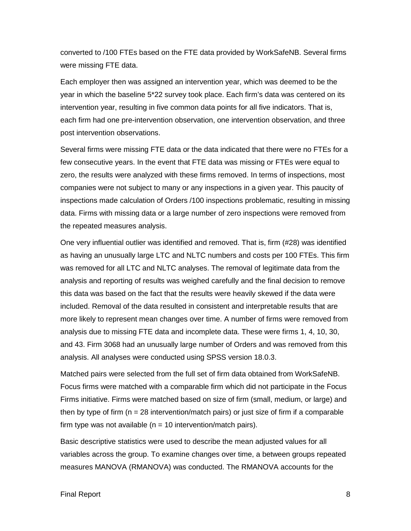converted to /100 FTEs based on the FTE data provided by WorkSafeNB. Several firms were missing FTE data.

Each employer then was assigned an intervention year, which was deemed to be the year in which the baseline 5\*22 survey took place. Each firm's data was centered on its intervention year, resulting in five common data points for all five indicators. That is, each firm had one pre-intervention observation, one intervention observation, and three post intervention observations.

Several firms were missing FTE data or the data indicated that there were no FTEs for a few consecutive years. In the event that FTE data was missing or FTEs were equal to zero, the results were analyzed with these firms removed. In terms of inspections, most companies were not subject to many or any inspections in a given year. This paucity of inspections made calculation of Orders /100 inspections problematic, resulting in missing data. Firms with missing data or a large number of zero inspections were removed from the repeated measures analysis.

One very influential outlier was identified and removed. That is, firm (#28) was identified as having an unusually large LTC and NLTC numbers and costs per 100 FTEs. This firm was removed for all LTC and NLTC analyses. The removal of legitimate data from the analysis and reporting of results was weighed carefully and the final decision to remove this data was based on the fact that the results were heavily skewed if the data were included. Removal of the data resulted in consistent and interpretable results that are more likely to represent mean changes over time. A number of firms were removed from analysis due to missing FTE data and incomplete data. These were firms 1, 4, 10, 30, and 43. Firm 3068 had an unusually large number of Orders and was removed from this analysis. All analyses were conducted using SPSS version 18.0.3.

Matched pairs were selected from the full set of firm data obtained from WorkSafeNB. Focus firms were matched with a comparable firm which did not participate in the Focus Firms initiative. Firms were matched based on size of firm (small, medium, or large) and then by type of firm ( $n = 28$  intervention/match pairs) or just size of firm if a comparable firm type was not available ( $n = 10$  intervention/match pairs).

Basic descriptive statistics were used to describe the mean adjusted values for all variables across the group. To examine changes over time, a between groups repeated measures MANOVA (RMANOVA) was conducted. The RMANOVA accounts for the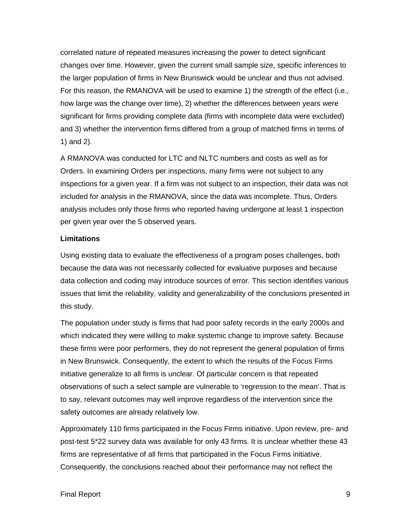correlated nature of repeated measures increasing the power to detect significant changes over time. However, given the current small sample size, specific inferences to the larger population of firms in New Brunswick would be unclear and thus not advised. For this reason, the RMANOVA will be used to examine 1) the strength of the effect (i.e., how large was the change over time), 2) whether the differences between years were significant for firms providing complete data (firms with incomplete data were excluded) and 3) whether the intervention firms differed from a group of matched firms in terms of 1) and 2).

A RMANOVA was conducted for LTC and NLTC numbers and costs as well as for Orders. In examining Orders per inspections, many firms were not subject to any inspections for a given year. If a firm was not subject to an inspection, their data was not included for analysis in the RMANOVA, since the data was incomplete. Thus, Orders analysis includes only those firms who reported having undergone at least 1 inspection per given year over the 5 observed years.

#### **Limitations**

Using existing data to evaluate the effectiveness of a program poses challenges, both because the data was not necessarily collected for evaluative purposes and because data collection and coding may introduce sources of error. This section identifies various issues that limit the reliability, validity and generalizability of the conclusions presented in this study.

The population under study is firms that had poor safety records in the early 2000s and which indicated they were willing to make systemic change to improve safety. Because these firms were poor performers, they do not represent the general population of firms in New Brunswick. Consequently, the extent to which the results of the Focus Firms initiative generalize to all firms is unclear. Of particular concern is that repeated observations of such a select sample are vulnerable to 'regression to the mean'. That is to say, relevant outcomes may well improve regardless of the intervention since the safety outcomes are already relatively low.

Approximately 110 firms participated in the Focus Firms initiative. Upon review, pre- and post-test 5\*22 survey data was available for only 43 firms. It is unclear whether these 43 firms are representative of all firms that participated in the Focus Firms initiative. Consequently, the conclusions reached about their performance may not reflect the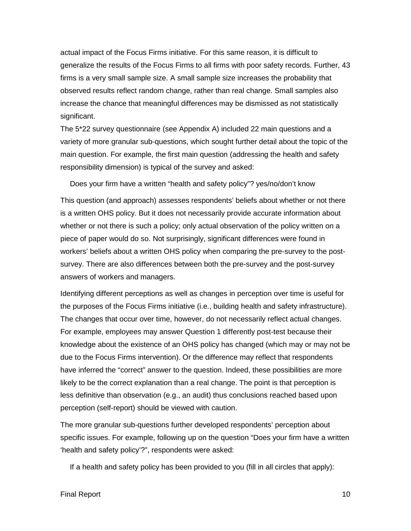actual impact of the Focus Firms initiative. For this same reason, it is difficult to generalize the results of the Focus Firms to all firms with poor safety records. Further, 43 firms is a very small sample size. A small sample size increases the probability that observed results reflect random change, rather than real change. Small samples also increase the chance that meaningful differences may be dismissed as not statistically significant.

The 5\*22 survey questionnaire (see Appendix A) included 22 main questions and a variety of more granular sub-questions, which sought further detail about the topic of the main question. For example, the first main question (addressing the health and safety responsibility dimension) is typical of the survey and asked:

Does your firm have a written "health and safety policy"? yes/no/don't know

This question (and approach) assesses respondents' beliefs about whether or not there is a written OHS policy. But it does not necessarily provide accurate information about whether or not there is such a policy; only actual observation of the policy written on a piece of paper would do so. Not surprisingly, significant differences were found in workers' beliefs about a written OHS policy when comparing the pre-survey to the postsurvey. There are also differences between both the pre-survey and the post-survey answers of workers and managers.

Identifying different perceptions as well as changes in perception over time is useful for the purposes of the Focus Firms initiative (i.e., building health and safety infrastructure). The changes that occur over time, however, do not necessarily reflect actual changes. For example, employees may answer Question 1 differently post-test because their knowledge about the existence of an OHS policy has changed (which may or may not be due to the Focus Firms intervention). Or the difference may reflect that respondents have inferred the "correct" answer to the question. Indeed, these possibilities are more likely to be the correct explanation than a real change. The point is that perception is less definitive than observation (e.g., an audit) thus conclusions reached based upon perception (self-report) should be viewed with caution.

The more granular sub-questions further developed respondents' perception about specific issues. For example, following up on the question "Does your firm have a written 'health and safety policy'?", respondents were asked:

If a health and safety policy has been provided to you (fill in all circles that apply):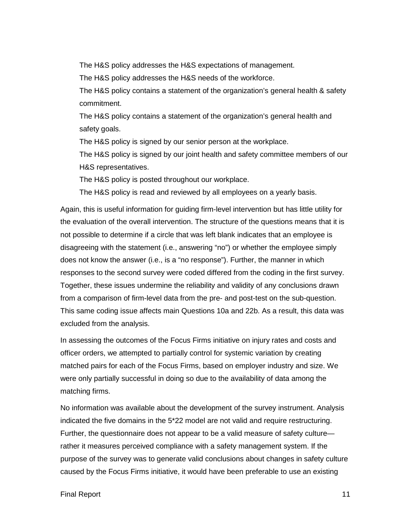The H&S policy addresses the H&S expectations of management.

The H&S policy addresses the H&S needs of the workforce.

The H&S policy contains a statement of the organization's general health & safety commitment.

The H&S policy contains a statement of the organization's general health and safety goals.

The H&S policy is signed by our senior person at the workplace.

The H&S policy is signed by our joint health and safety committee members of our H&S representatives.

The H&S policy is posted throughout our workplace.

The H&S policy is read and reviewed by all employees on a yearly basis.

Again, this is useful information for guiding firm-level intervention but has little utility for the evaluation of the overall intervention. The structure of the questions means that it is not possible to determine if a circle that was left blank indicates that an employee is disagreeing with the statement (i.e., answering "no") or whether the employee simply does not know the answer (i.e., is a "no response"). Further, the manner in which responses to the second survey were coded differed from the coding in the first survey. Together, these issues undermine the reliability and validity of any conclusions drawn from a comparison of firm-level data from the pre- and post-test on the sub-question. This same coding issue affects main Questions 10a and 22b. As a result, this data was excluded from the analysis.

In assessing the outcomes of the Focus Firms initiative on injury rates and costs and officer orders, we attempted to partially control for systemic variation by creating matched pairs for each of the Focus Firms, based on employer industry and size. We were only partially successful in doing so due to the availability of data among the matching firms.

No information was available about the development of the survey instrument. Analysis indicated the five domains in the 5\*22 model are not valid and require restructuring. Further, the questionnaire does not appear to be a valid measure of safety culture rather it measures perceived compliance with a safety management system. If the purpose of the survey was to generate valid conclusions about changes in safety culture caused by the Focus Firms initiative, it would have been preferable to use an existing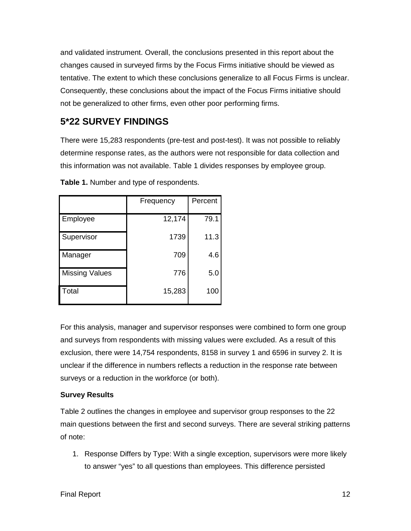and validated instrument. Overall, the conclusions presented in this report about the changes caused in surveyed firms by the Focus Firms initiative should be viewed as tentative. The extent to which these conclusions generalize to all Focus Firms is unclear. Consequently, these conclusions about the impact of the Focus Firms initiative should not be generalized to other firms, even other poor performing firms.

## **5\*22 SURVEY FINDINGS**

There were 15,283 respondents (pre-test and post-test). It was not possible to reliably determine response rates, as the authors were not responsible for data collection and this information was not available. Table 1 divides responses by employee group.

|                       | Frequency | Percent |
|-----------------------|-----------|---------|
| Employee              | 12,174    | 79.1    |
| Supervisor            | 1739      | 11.3    |
| Manager               | 709       | 4.6     |
| <b>Missing Values</b> | 776       | 5.0     |
| Total                 | 15,283    | 100     |

**Table 1.** Number and type of respondents.

For this analysis, manager and supervisor responses were combined to form one group and surveys from respondents with missing values were excluded. As a result of this exclusion, there were 14,754 respondents, 8158 in survey 1 and 6596 in survey 2. It is unclear if the difference in numbers reflects a reduction in the response rate between surveys or a reduction in the workforce (or both).

### **Survey Results**

Table 2 outlines the changes in employee and supervisor group responses to the 22 main questions between the first and second surveys. There are several striking patterns of note:

1. Response Differs by Type: With a single exception, supervisors were more likely to answer "yes" to all questions than employees. This difference persisted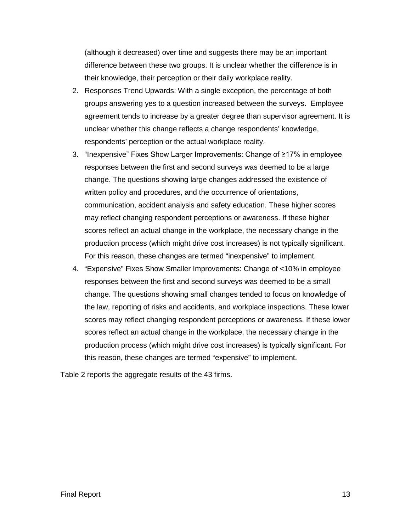(although it decreased) over time and suggests there may be an important difference between these two groups. It is unclear whether the difference is in their knowledge, their perception or their daily workplace reality.

- 2. Responses Trend Upwards: With a single exception, the percentage of both groups answering yes to a question increased between the surveys. Employee agreement tends to increase by a greater degree than supervisor agreement. It is unclear whether this change reflects a change respondents' knowledge, respondents' perception or the actual workplace reality.
- 3. "Inexpensive" Fixes Show Larger Improvements: Change of ≥17% in employee responses between the first and second surveys was deemed to be a large change. The questions showing large changes addressed the existence of written policy and procedures, and the occurrence of orientations, communication, accident analysis and safety education. These higher scores may reflect changing respondent perceptions or awareness. If these higher scores reflect an actual change in the workplace, the necessary change in the production process (which might drive cost increases) is not typically significant. For this reason, these changes are termed "inexpensive" to implement.
- 4. "Expensive" Fixes Show Smaller Improvements: Change of <10% in employee responses between the first and second surveys was deemed to be a small change. The questions showing small changes tended to focus on knowledge of the law, reporting of risks and accidents, and workplace inspections. These lower scores may reflect changing respondent perceptions or awareness. If these lower scores reflect an actual change in the workplace, the necessary change in the production process (which might drive cost increases) is typically significant. For this reason, these changes are termed "expensive" to implement.

Table 2 reports the aggregate results of the 43 firms.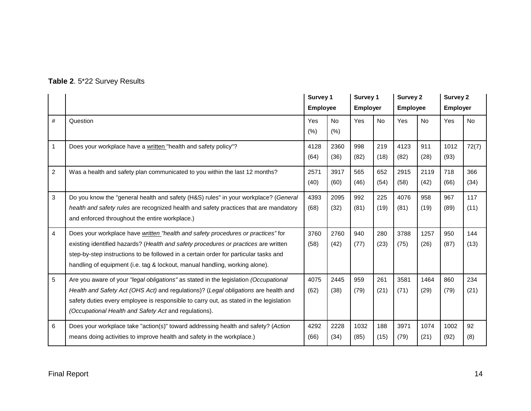|  |  |  | Table 2. 5*22 Survey Results |
|--|--|--|------------------------------|
|--|--|--|------------------------------|

|   |                                                                                                                                                                                                                                                                                                                                                | Survey 1     |                   | <b>Employee</b> |             | Survey 1<br><b>Employer</b> |              | <b>Survey 2</b><br><b>Employee</b> |             | <b>Survey 2</b><br><b>Employer</b> |  |
|---|------------------------------------------------------------------------------------------------------------------------------------------------------------------------------------------------------------------------------------------------------------------------------------------------------------------------------------------------|--------------|-------------------|-----------------|-------------|-----------------------------|--------------|------------------------------------|-------------|------------------------------------|--|
| # | Question                                                                                                                                                                                                                                                                                                                                       | Yes<br>(% )  | <b>No</b><br>(% ) | Yes             | <b>No</b>   | <b>Yes</b>                  | <b>No</b>    | Yes                                | <b>No</b>   |                                    |  |
| 1 | Does your workplace have a written "health and safety policy"?                                                                                                                                                                                                                                                                                 | 4128<br>(64) | 2360<br>(36)      | 998<br>(82)     | 219<br>(18) | 4123<br>(82)                | 911<br>(28)  | 1012<br>(93)                       | 72(7)       |                                    |  |
| 2 | Was a health and safety plan communicated to you within the last 12 months?                                                                                                                                                                                                                                                                    | 2571<br>(40) | 3917<br>(60)      | 565<br>(46)     | 652<br>(54) | 2915<br>(58)                | 2119<br>(42) | 718<br>(66)                        | 366<br>(34) |                                    |  |
| 3 | Do you know the "general health and safety (H&S) rules" in your workplace? (General<br>health and safety rules are recognized health and safety practices that are mandatory<br>and enforced throughout the entire workplace.)                                                                                                                 | 4393<br>(68) | 2095<br>(32)      | 992<br>(81)     | 225<br>(19) | 4076<br>(81)                | 958<br>(19)  | 967<br>(89)                        | 117<br>(11) |                                    |  |
| 4 | Does your workplace have written "health and safety procedures or practices" for<br>existing identified hazards? (Health and safety procedures or practices are written<br>step-by-step instructions to be followed in a certain order for particular tasks and<br>handling of equipment (i.e. tag & lockout, manual handling, working alone). | 3760<br>(58) | 2760<br>(42)      | 940<br>(77)     | 280<br>(23) | 3788<br>(75)                | 1257<br>(26) | 950<br>(87)                        | 144<br>(13) |                                    |  |
| 5 | Are you aware of your "legal obligations" as stated in the legislation (Occupational<br>Health and Safety Act (OHS Act) and regulations)? (Legal obligations are health and<br>safety duties every employee is responsible to carry out, as stated in the legislation<br>(Occupational Health and Safety Act and regulations).                 | 4075<br>(62) | 2445<br>(38)      | 959<br>(79)     | 261<br>(21) | 3581<br>(71)                | 1464<br>(29) | 860<br>(79)                        | 234<br>(21) |                                    |  |
| 6 | Does your workplace take "action(s)" toward addressing health and safety? (Action<br>means doing activities to improve health and safety in the workplace.)                                                                                                                                                                                    | 4292<br>(66) | 2228<br>(34)      | 1032<br>(85)    | 188<br>(15) | 3971<br>(79)                | 1074<br>(21) | 1002<br>(92)                       | 92<br>(8)   |                                    |  |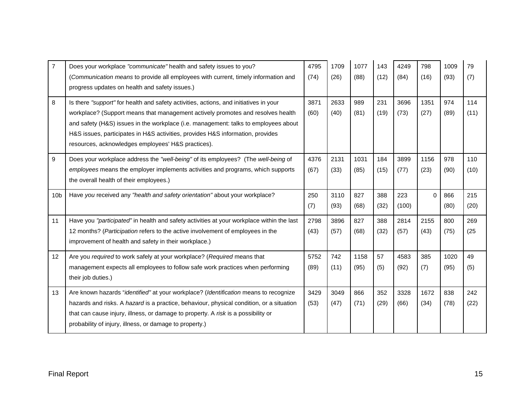| $\overline{7}$  | Does your workplace "communicate" health and safety issues to you?                              | 4795 | 1709 | 1077 | 143  | 4249  | 798      | 1009 | 79   |
|-----------------|-------------------------------------------------------------------------------------------------|------|------|------|------|-------|----------|------|------|
|                 | (Communication means to provide all employees with current, timely information and              | (74) | (26) | (88) | (12) | (84)  | (16)     | (93) | (7)  |
|                 | progress updates on health and safety issues.)                                                  |      |      |      |      |       |          |      |      |
|                 |                                                                                                 |      |      |      |      |       |          |      |      |
| 8               | Is there "support" for health and safety activities, actions, and initiatives in your           | 3871 | 2633 | 989  | 231  | 3696  | 1351     | 974  | 114  |
|                 | workplace? (Support means that management actively promotes and resolves health                 | (60) | (40) | (81) | (19) | (73)  | (27)     | (89) | (11) |
|                 | and safety (H&S) issues in the workplace (i.e. management: talks to employees about             |      |      |      |      |       |          |      |      |
|                 | H&S issues, participates in H&S activities, provides H&S information, provides                  |      |      |      |      |       |          |      |      |
|                 | resources, acknowledges employees' H&S practices).                                              |      |      |      |      |       |          |      |      |
| 9               | Does your workplace address the "well-being" of its employees? (The well-being of               | 4376 | 2131 | 1031 | 184  | 3899  | 1156     | 978  | 110  |
|                 | employees means the employer implements activities and programs, which supports                 | (67) | (33) | (85) | (15) | (77)  | (23)     | (90) | (10) |
|                 | the overall health of their employees.)                                                         |      |      |      |      |       |          |      |      |
| 10 <sub>b</sub> | Have you received any "health and safety orientation" about your workplace?                     | 250  | 3110 | 827  | 388  | 223   | $\Omega$ | 866  | 215  |
|                 |                                                                                                 |      |      |      |      |       |          |      |      |
|                 |                                                                                                 | (7)  | (93) | (68) | (32) | (100) |          | (80) | (20) |
| 11              | Have you "participated" in health and safety activities at your workplace within the last       | 2798 | 3896 | 827  | 388  | 2814  | 2155     | 800  | 269  |
|                 | 12 months? (Participation refers to the active involvement of employees in the                  | (43) | (57) | (68) | (32) | (57)  | (43)     | (75) | (25) |
|                 | improvement of health and safety in their workplace.)                                           |      |      |      |      |       |          |      |      |
| 12 <sup>°</sup> | Are you required to work safely at your workplace? (Required means that                         | 5752 | 742  | 1158 | 57   | 4583  | 385      | 1020 | 49   |
|                 | management expects all employees to follow safe work practices when performing                  | (89) | (11) | (95) | (5)  | (92)  | (7)      | (95) | (5)  |
|                 | their job duties.)                                                                              |      |      |      |      |       |          |      |      |
| 13              | Are known hazards "identified" at your workplace? (Identification means to recognize            | 3429 | 3049 | 866  | 352  | 3328  | 1672     | 838  | 242  |
|                 | hazards and risks. A <i>hazard</i> is a practice, behaviour, physical condition, or a situation | (53) | (47) | (71) | (29) | (66)  | (34)     | (78) | (22) |
|                 | that can cause injury, illness, or damage to property. A risk is a possibility or               |      |      |      |      |       |          |      |      |
|                 | probability of injury, illness, or damage to property.)                                         |      |      |      |      |       |          |      |      |
|                 |                                                                                                 |      |      |      |      |       |          |      |      |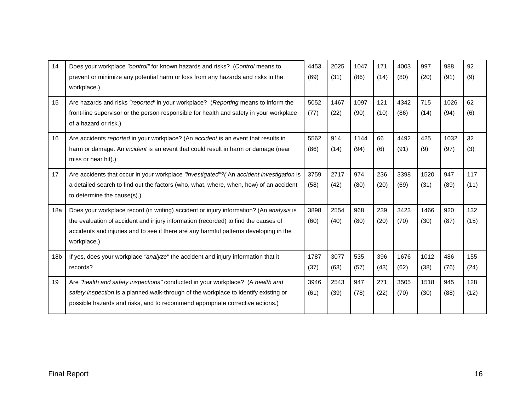| 14              | Does your workplace "control" for known hazards and risks? (Control means to<br>prevent or minimize any potential harm or loss from any hazards and risks in the                           | 4453<br>(69) | 2025<br>(31) | 1047<br>(86) | 171<br>(14) | 4003<br>(80) | 997<br>(20) | 988<br>(91) | 92<br>(9) |
|-----------------|--------------------------------------------------------------------------------------------------------------------------------------------------------------------------------------------|--------------|--------------|--------------|-------------|--------------|-------------|-------------|-----------|
|                 | workplace.)                                                                                                                                                                                |              |              |              |             |              |             |             |           |
| 15              | Are hazards and risks "reported' in your workplace? (Reporting means to inform the                                                                                                         | 5052         | 1467         | 1097         | 121         | 4342         | 715         | 1026        | 62        |
|                 | front-line supervisor or the person responsible for health and safety in your workplace<br>of a hazard or risk.)                                                                           | (77)         | (22)         | (90)         | (10)        | (86)         | (14)        | (94)        | (6)       |
| 16              | Are accidents reported in your workplace? (An accident is an event that results in                                                                                                         | 5562         | 914          | 1144         | 66          | 4492         | 425         | 1032        | 32        |
|                 | harm or damage. An incident is an event that could result in harm or damage (near<br>miss or near hit).)                                                                                   | (86)         | (14)         | (94)         | (6)         | (91)         | (9)         | (97)        | (3)       |
| 17              | Are accidents that occur in your workplace "investigated"? (An accident investigation is                                                                                                   | 3759         | 2717         | 974          | 236         | 3398         | 1520        | 947         | 117       |
|                 | a detailed search to find out the factors (who, what, where, when, how) of an accident<br>to determine the cause(s).)                                                                      | (58)         | (42)         | (80)         | (20)        | (69)         | (31)        | (89)        | (11)      |
|                 |                                                                                                                                                                                            |              |              |              |             |              |             |             |           |
| 18a             | Does your workplace record (in writing) accident or injury information? (An analysis is                                                                                                    | 3898         | 2554         | 968          | 239         | 3423         | 1466        | 920         | 132       |
|                 | the evaluation of accident and injury information (recorded) to find the causes of<br>accidents and injuries and to see if there are any harmful patterns developing in the<br>workplace.) | (60)         | (40)         | (80)         | (20)        | (70)         | (30)        | (87)        | (15)      |
| 18 <sub>b</sub> | If yes, does your workplace "analyze" the accident and injury information that it                                                                                                          | 1787         | 3077         | 535          | 396         | 1676         | 1012        | 486         | 155       |
|                 | records?                                                                                                                                                                                   | (37)         | (63)         | (57)         | (43)        | (62)         | (38)        | (76)        | (24)      |
| 19              | Are "health and safety inspections" conducted in your workplace? (A health and                                                                                                             | 3946         | 2543         | 947          | 271         | 3505         | 1518        | 945         | 128       |
|                 | safety inspection is a planned walk-through of the workplace to identify existing or<br>possible hazards and risks, and to recommend appropriate corrective actions.)                      | (61)         | (39)         | (78)         | (22)        | (70)         | (30)        | (88)        | (12)      |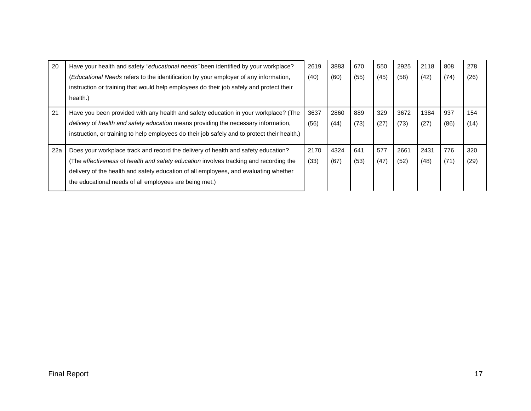| 20  | Have your health and safety "educational needs" been identified by your workplace?<br>(Educational Needs refers to the identification by your employer of any information,<br>instruction or training that would help employees do their job safely and protect their<br>health.)                                            | 2619<br>(40) | 3883<br>(60) | 670<br>(55) | 550<br>(45) | 2925<br>(58) | 2118<br>(42) | 808<br>(74) | 278<br>(26) |
|-----|------------------------------------------------------------------------------------------------------------------------------------------------------------------------------------------------------------------------------------------------------------------------------------------------------------------------------|--------------|--------------|-------------|-------------|--------------|--------------|-------------|-------------|
| 21  | Have you been provided with any health and safety education in your workplace? (The<br>delivery of health and safety education means providing the necessary information,<br>instruction, or training to help employees do their job safely and to protect their health.)                                                    | 3637<br>(56) | 2860<br>(44) | 889<br>(73) | 329<br>(27) | 3672<br>(73) | 1384<br>(27) | 937<br>(86) | 154<br>(14) |
| 22a | Does your workplace track and record the delivery of health and safety education?<br>(The effectiveness of health and safety education involves tracking and recording the<br>delivery of the health and safety education of all employees, and evaluating whether<br>the educational needs of all employees are being met.) | 2170<br>(33) | 4324<br>(67) | 641<br>(53) | 577<br>(47) | 2661<br>(52) | 2431<br>(48) | 776<br>(71) | 320<br>(29) |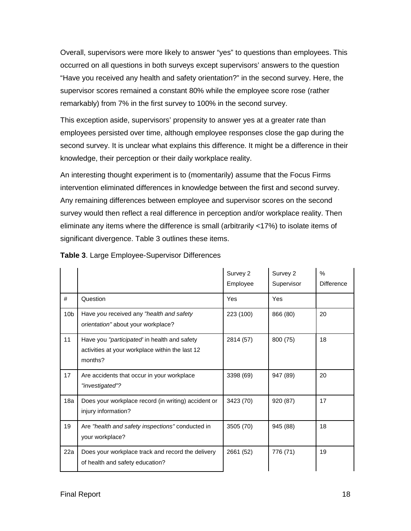Overall, supervisors were more likely to answer "yes" to questions than employees. This occurred on all questions in both surveys except supervisors' answers to the question "Have you received any health and safety orientation?" in the second survey. Here, the supervisor scores remained a constant 80% while the employee score rose (rather remarkably) from 7% in the first survey to 100% in the second survey.

This exception aside, supervisors' propensity to answer yes at a greater rate than employees persisted over time, although employee responses close the gap during the second survey. It is unclear what explains this difference. It might be a difference in their knowledge, their perception or their daily workplace reality.

An interesting thought experiment is to (momentarily) assume that the Focus Firms intervention eliminated differences in knowledge between the first and second survey. Any remaining differences between employee and supervisor scores on the second survey would then reflect a real difference in perception and/or workplace reality. Then eliminate any items where the difference is small (arbitrarily <17%) to isolate items of significant divergence. Table 3 outlines these items.

|                 |                                                                                                            | Survey 2<br>Employee | Survey 2<br>Supervisor | $\frac{0}{0}$<br><b>Difference</b> |
|-----------------|------------------------------------------------------------------------------------------------------------|----------------------|------------------------|------------------------------------|
| #               | Question                                                                                                   | Yes                  | Yes                    |                                    |
| 10 <sub>b</sub> | Have you received any "health and safety<br>orientation" about your workplace?                             | 223 (100)            | 866 (80)               | 20                                 |
| 11              | Have you "participated" in health and safety<br>activities at your workplace within the last 12<br>months? | 2814 (57)            | 800 (75)               | 18                                 |
| 17              | Are accidents that occur in your workplace<br>"investigated"?                                              | 3398 (69)            | 947 (89)               | 20                                 |
| 18a             | Does your workplace record (in writing) accident or<br>injury information?                                 | 3423 (70)            | 920 (87)               | 17                                 |
| 19              | Are "health and safety inspections" conducted in<br>your workplace?                                        | 3505 (70)            | 945 (88)               | 18                                 |
| 22a             | Does your workplace track and record the delivery<br>of health and safety education?                       | 2661 (52)            | 776 (71)               | 19                                 |

**Table 3**. Large Employee-Supervisor Differences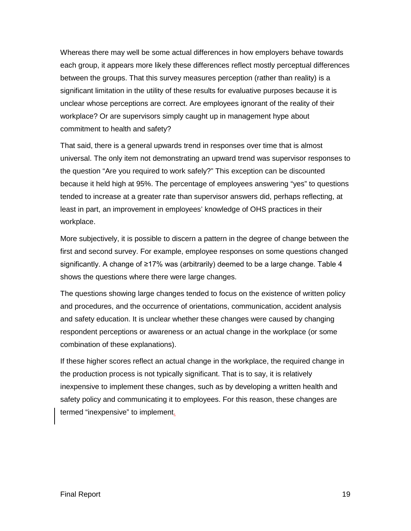Whereas there may well be some actual differences in how employers behave towards each group, it appears more likely these differences reflect mostly perceptual differences between the groups. That this survey measures perception (rather than reality) is a significant limitation in the utility of these results for evaluative purposes because it is unclear whose perceptions are correct. Are employees ignorant of the reality of their workplace? Or are supervisors simply caught up in management hype about commitment to health and safety?

That said, there is a general upwards trend in responses over time that is almost universal. The only item not demonstrating an upward trend was supervisor responses to the question "Are you required to work safely?" This exception can be discounted because it held high at 95%. The percentage of employees answering "yes" to questions tended to increase at a greater rate than supervisor answers did, perhaps reflecting, at least in part, an improvement in employees' knowledge of OHS practices in their workplace.

More subjectively, it is possible to discern a pattern in the degree of change between the first and second survey. For example, employee responses on some questions changed significantly. A change of ≥17% was (arbitrarily) deemed to be a large change. Table 4 shows the questions where there were large changes.

The questions showing large changes tended to focus on the existence of written policy and procedures, and the occurrence of orientations, communication, accident analysis and safety education. It is unclear whether these changes were caused by changing respondent perceptions or awareness or an actual change in the workplace (or some combination of these explanations).

If these higher scores reflect an actual change in the workplace, the required change in the production process is not typically significant. That is to say, it is relatively inexpensive to implement these changes, such as by developing a written health and safety policy and communicating it to employees. For this reason, these changes are termed "inexpensive" to implement.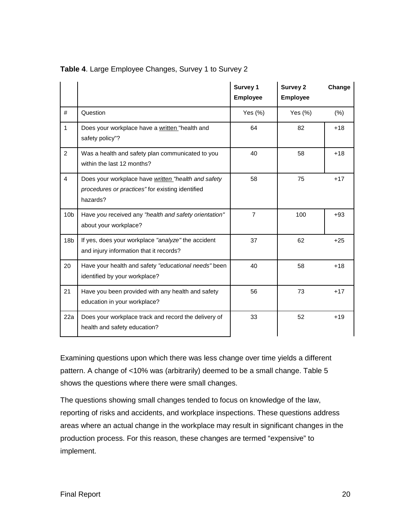|                 |                                                                                                                     | Survey 1<br><b>Employee</b> | <b>Survey 2</b><br><b>Employee</b> | Change |
|-----------------|---------------------------------------------------------------------------------------------------------------------|-----------------------------|------------------------------------|--------|
| #               | Question                                                                                                            | Yes $(\%)$                  | Yes $(\%)$                         | (% )   |
| $\mathbf{1}$    | Does your workplace have a written "health and<br>safety policy"?                                                   | 64                          | 82                                 | $+18$  |
| $\overline{2}$  | Was a health and safety plan communicated to you<br>within the last 12 months?                                      | 40                          | 58                                 | $+18$  |
| $\overline{4}$  | Does your workplace have written "health and safety<br>procedures or practices" for existing identified<br>hazards? | 58                          | 75                                 | $+17$  |
| 10 <sub>b</sub> | Have you received any "health and safety orientation"<br>about your workplace?                                      | $\overline{7}$              | 100                                | $+93$  |
| 18 <sub>b</sub> | If yes, does your workplace "analyze" the accident<br>and injury information that it records?                       | 37                          | 62                                 | $+25$  |
| 20              | Have your health and safety "educational needs" been<br>identified by your workplace?                               | 40                          | 58                                 | $+18$  |
| 21              | Have you been provided with any health and safety<br>education in your workplace?                                   | 56                          | 73                                 | $+17$  |
| 22a             | Does your workplace track and record the delivery of<br>health and safety education?                                | 33                          | 52                                 | $+19$  |

#### **Table 4**. Large Employee Changes, Survey 1 to Survey 2

Examining questions upon which there was less change over time yields a different pattern. A change of <10% was (arbitrarily) deemed to be a small change. Table 5 shows the questions where there were small changes.

The questions showing small changes tended to focus on knowledge of the law, reporting of risks and accidents, and workplace inspections. These questions address areas where an actual change in the workplace may result in significant changes in the production process. For this reason, these changes are termed "expensive" to implement.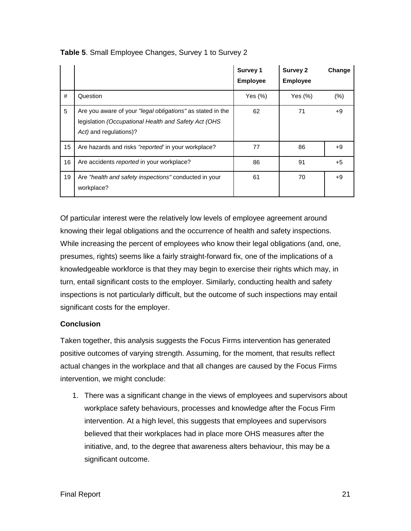|    |                                                                                                                                               | Survey 1<br><b>Employee</b> | <b>Survey 2</b><br><b>Employee</b> | Change |
|----|-----------------------------------------------------------------------------------------------------------------------------------------------|-----------------------------|------------------------------------|--------|
| #  | Question                                                                                                                                      | Yes $(\%)$                  | Yes $(\%)$                         | (% )   |
| 5  | Are you aware of your "legal obligations" as stated in the<br>legislation (Occupational Health and Safety Act (OHS)<br>Act) and regulations)? | 62                          | 71                                 | $+9$   |
| 15 | Are hazards and risks "reported" in your workplace?                                                                                           | 77                          | 86                                 | $+9$   |
| 16 | Are accidents reported in your workplace?                                                                                                     | 86                          | 91                                 | $+5$   |
| 19 | Are "health and safety inspections" conducted in your<br>workplace?                                                                           | 61                          | 70                                 | $+9$   |

**Table 5**. Small Employee Changes, Survey 1 to Survey 2

Of particular interest were the relatively low levels of employee agreement around knowing their legal obligations and the occurrence of health and safety inspections. While increasing the percent of employees who know their legal obligations (and, one, presumes, rights) seems like a fairly straight-forward fix, one of the implications of a knowledgeable workforce is that they may begin to exercise their rights which may, in turn, entail significant costs to the employer. Similarly, conducting health and safety inspections is not particularly difficult, but the outcome of such inspections may entail significant costs for the employer.

#### **Conclusion**

Taken together, this analysis suggests the Focus Firms intervention has generated positive outcomes of varying strength. Assuming, for the moment, that results reflect actual changes in the workplace and that all changes are caused by the Focus Firms intervention, we might conclude:

1. There was a significant change in the views of employees and supervisors about workplace safety behaviours, processes and knowledge after the Focus Firm intervention. At a high level, this suggests that employees and supervisors believed that their workplaces had in place more OHS measures after the initiative, and, to the degree that awareness alters behaviour, this may be a significant outcome.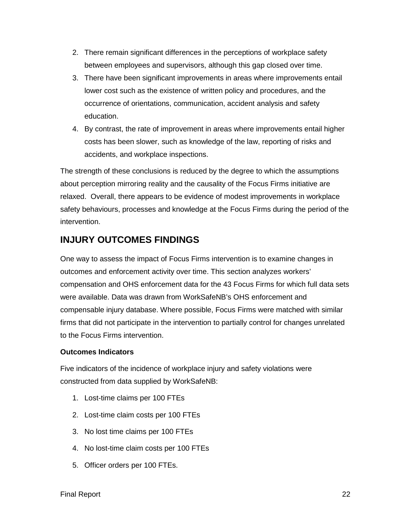- 2. There remain significant differences in the perceptions of workplace safety between employees and supervisors, although this gap closed over time.
- 3. There have been significant improvements in areas where improvements entail lower cost such as the existence of written policy and procedures, and the occurrence of orientations, communication, accident analysis and safety education.
- 4. By contrast, the rate of improvement in areas where improvements entail higher costs has been slower, such as knowledge of the law, reporting of risks and accidents, and workplace inspections.

The strength of these conclusions is reduced by the degree to which the assumptions about perception mirroring reality and the causality of the Focus Firms initiative are relaxed. Overall, there appears to be evidence of modest improvements in workplace safety behaviours, processes and knowledge at the Focus Firms during the period of the intervention.

## **INJURY OUTCOMES FINDINGS**

One way to assess the impact of Focus Firms intervention is to examine changes in outcomes and enforcement activity over time. This section analyzes workers' compensation and OHS enforcement data for the 43 Focus Firms for which full data sets were available. Data was drawn from WorkSafeNB's OHS enforcement and compensable injury database. Where possible, Focus Firms were matched with similar firms that did not participate in the intervention to partially control for changes unrelated to the Focus Firms intervention.

#### **Outcomes Indicators**

Five indicators of the incidence of workplace injury and safety violations were constructed from data supplied by WorkSafeNB:

- 1. Lost-time claims per 100 FTEs
- 2. Lost-time claim costs per 100 FTEs
- 3. No lost time claims per 100 FTEs
- 4. No lost-time claim costs per 100 FTEs
- 5. Officer orders per 100 FTEs.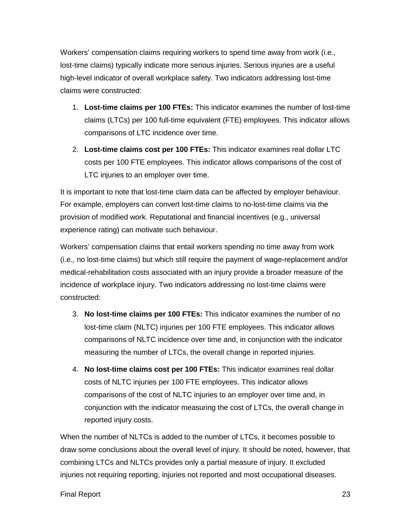Workers' compensation claims requiring workers to spend time away from work (i.e., lost-time claims) typically indicate more serious injuries. Serious injuries are a useful high-level indicator of overall workplace safety. Two indicators addressing lost-time claims were constructed:

- 1. **Lost-time claims per 100 FTEs:** This indicator examines the number of lost-time claims (LTCs) per 100 full-time equivalent (FTE) employees. This indicator allows comparisons of LTC incidence over time.
- 2. **Lost-time claims cost per 100 FTEs:** This indicator examines real dollar LTC costs per 100 FTE employees. This indicator allows comparisons of the cost of LTC injuries to an employer over time.

It is important to note that lost-time claim data can be affected by employer behaviour. For example, employers can convert lost-time claims to no-lost-time claims via the provision of modified work. Reputational and financial incentives (e.g., universal experience rating) can motivate such behaviour.

Workers' compensation claims that entail workers spending no time away from work (i.e., no lost-time claims) but which still require the payment of wage-replacement and/or medical-rehabilitation costs associated with an injury provide a broader measure of the incidence of workplace injury. Two indicators addressing no lost-time claims were constructed:

- 3. **No lost-time claims per 100 FTEs:** This indicator examines the number of no lost-time claim (NLTC) injuries per 100 FTE employees. This indicator allows comparisons of NLTC incidence over time and, in conjunction with the indicator measuring the number of LTCs, the overall change in reported injuries.
- 4. **No lost-time claims cost per 100 FTEs:** This indicator examines real dollar costs of NLTC injuries per 100 FTE employees. This indicator allows comparisons of the cost of NLTC injuries to an employer over time and, in conjunction with the indicator measuring the cost of LTCs, the overall change in reported injury costs.

When the number of NLTCs is added to the number of LTCs, it becomes possible to draw some conclusions about the overall level of injury. It should be noted, however, that combining LTCs and NLTCs provides only a partial measure of injury. It excluded injuries not requiring reporting, injuries not reported and most occupational diseases.

#### Final Report 23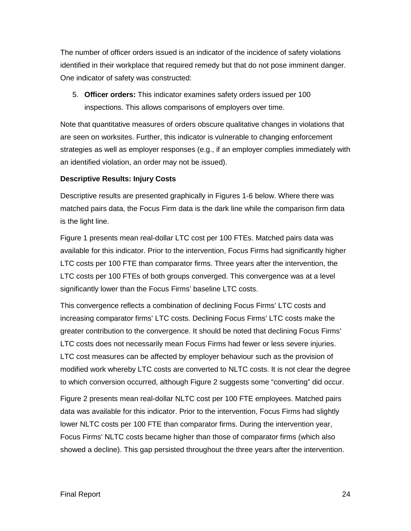The number of officer orders issued is an indicator of the incidence of safety violations identified in their workplace that required remedy but that do not pose imminent danger. One indicator of safety was constructed:

5. **Officer orders:** This indicator examines safety orders issued per 100 inspections. This allows comparisons of employers over time.

Note that quantitative measures of orders obscure qualitative changes in violations that are seen on worksites. Further, this indicator is vulnerable to changing enforcement strategies as well as employer responses (e.g., if an employer complies immediately with an identified violation, an order may not be issued).

#### **Descriptive Results: Injury Costs**

Descriptive results are presented graphically in Figures 1-6 below. Where there was matched pairs data, the Focus Firm data is the dark line while the comparison firm data is the light line.

Figure 1 presents mean real-dollar LTC cost per 100 FTEs. Matched pairs data was available for this indicator. Prior to the intervention, Focus Firms had significantly higher LTC costs per 100 FTE than comparator firms. Three years after the intervention, the LTC costs per 100 FTEs of both groups converged. This convergence was at a level significantly lower than the Focus Firms' baseline LTC costs.

This convergence reflects a combination of declining Focus Firms' LTC costs and increasing comparator firms' LTC costs. Declining Focus Firms' LTC costs make the greater contribution to the convergence. It should be noted that declining Focus Firms' LTC costs does not necessarily mean Focus Firms had fewer or less severe injuries. LTC cost measures can be affected by employer behaviour such as the provision of modified work whereby LTC costs are converted to NLTC costs. It is not clear the degree to which conversion occurred, although Figure 2 suggests some "converting" did occur.

Figure 2 presents mean real-dollar NLTC cost per 100 FTE employees. Matched pairs data was available for this indicator. Prior to the intervention, Focus Firms had slightly lower NLTC costs per 100 FTE than comparator firms. During the intervention year, Focus Firms' NLTC costs became higher than those of comparator firms (which also showed a decline). This gap persisted throughout the three years after the intervention.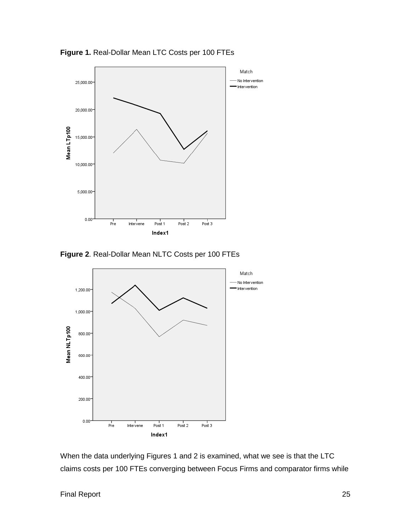

**Figure 1.** Real-Dollar Mean LTC Costs per 100 FTEs





When the data underlying Figures 1 and 2 is examined, what we see is that the LTC claims costs per 100 FTEs converging between Focus Firms and comparator firms while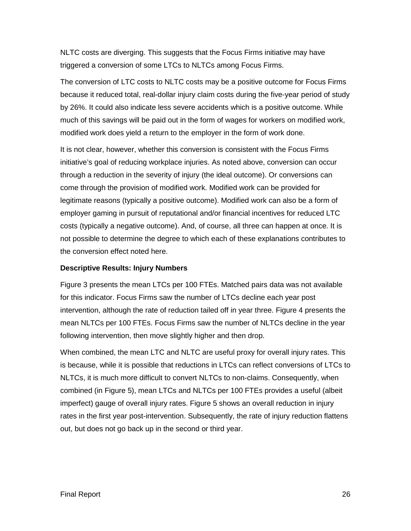NLTC costs are diverging. This suggests that the Focus Firms initiative may have triggered a conversion of some LTCs to NLTCs among Focus Firms.

The conversion of LTC costs to NLTC costs may be a positive outcome for Focus Firms because it reduced total, real-dollar injury claim costs during the five-year period of study by 26%. It could also indicate less severe accidents which is a positive outcome. While much of this savings will be paid out in the form of wages for workers on modified work, modified work does yield a return to the employer in the form of work done.

It is not clear, however, whether this conversion is consistent with the Focus Firms initiative's goal of reducing workplace injuries. As noted above, conversion can occur through a reduction in the severity of injury (the ideal outcome). Or conversions can come through the provision of modified work. Modified work can be provided for legitimate reasons (typically a positive outcome). Modified work can also be a form of employer gaming in pursuit of reputational and/or financial incentives for reduced LTC costs (typically a negative outcome). And, of course, all three can happen at once. It is not possible to determine the degree to which each of these explanations contributes to the conversion effect noted here.

#### **Descriptive Results: Injury Numbers**

Figure 3 presents the mean LTCs per 100 FTEs. Matched pairs data was not available for this indicator. Focus Firms saw the number of LTCs decline each year post intervention, although the rate of reduction tailed off in year three. Figure 4 presents the mean NLTCs per 100 FTEs. Focus Firms saw the number of NLTCs decline in the year following intervention, then move slightly higher and then drop.

When combined, the mean LTC and NLTC are useful proxy for overall injury rates. This is because, while it is possible that reductions in LTCs can reflect conversions of LTCs to NLTCs, it is much more difficult to convert NLTCs to non-claims. Consequently, when combined (in Figure 5), mean LTCs and NLTCs per 100 FTEs provides a useful (albeit imperfect) gauge of overall injury rates. Figure 5 shows an overall reduction in injury rates in the first year post-intervention. Subsequently, the rate of injury reduction flattens out, but does not go back up in the second or third year.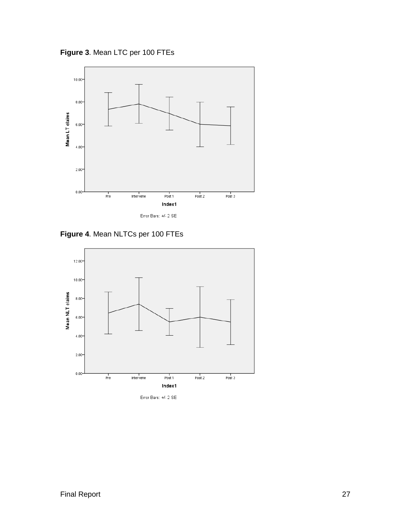**Figure 3**. Mean LTC per 100 FTEs

![](_page_28_Figure_1.jpeg)

**Figure 4**. Mean NLTCs per 100 FTEs

![](_page_28_Figure_3.jpeg)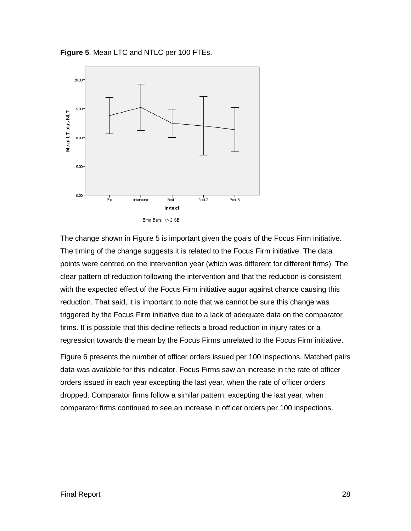**Figure 5**. Mean LTC and NTLC per 100 FTEs.

![](_page_29_Figure_1.jpeg)

The change shown in Figure 5 is important given the goals of the Focus Firm initiative. The timing of the change suggests it is related to the Focus Firm initiative. The data points were centred on the intervention year (which was different for different firms). The clear pattern of reduction following the intervention and that the reduction is consistent with the expected effect of the Focus Firm initiative augur against chance causing this reduction. That said, it is important to note that we cannot be sure this change was triggered by the Focus Firm initiative due to a lack of adequate data on the comparator firms. It is possible that this decline reflects a broad reduction in injury rates or a regression towards the mean by the Focus Firms unrelated to the Focus Firm initiative.

Figure 6 presents the number of officer orders issued per 100 inspections. Matched pairs data was available for this indicator. Focus Firms saw an increase in the rate of officer orders issued in each year excepting the last year, when the rate of officer orders dropped. Comparator firms follow a similar pattern, excepting the last year, when comparator firms continued to see an increase in officer orders per 100 inspections.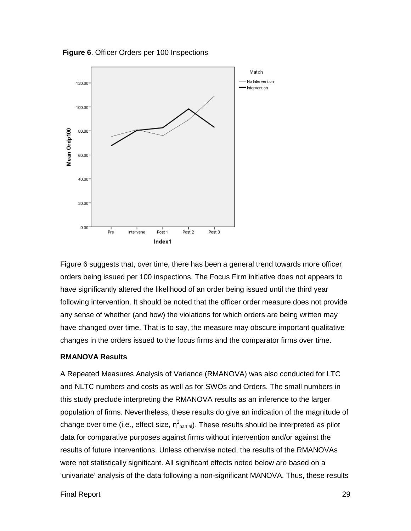**Figure 6**. Officer Orders per 100 Inspections

![](_page_30_Figure_1.jpeg)

Figure 6 suggests that, over time, there has been a general trend towards more officer orders being issued per 100 inspections. The Focus Firm initiative does not appears to have significantly altered the likelihood of an order being issued until the third year following intervention. It should be noted that the officer order measure does not provide any sense of whether (and how) the violations for which orders are being written may have changed over time. That is to say, the measure may obscure important qualitative changes in the orders issued to the focus firms and the comparator firms over time.

#### **RMANOVA Results**

A Repeated Measures Analysis of Variance (RMANOVA) was also conducted for LTC and NLTC numbers and costs as well as for SWOs and Orders. The small numbers in this study preclude interpreting the RMANOVA results as an inference to the larger population of firms. Nevertheless, these results do give an indication of the magnitude of change over time (i.e., effect size,  $\eta^2_{\text{partial}}$ ). These results should be interpreted as pilot data for comparative purposes against firms without intervention and/or against the results of future interventions. Unless otherwise noted, the results of the RMANOVAs were not statistically significant. All significant effects noted below are based on a 'univariate' analysis of the data following a non-significant MANOVA. Thus, these results

Final Report 29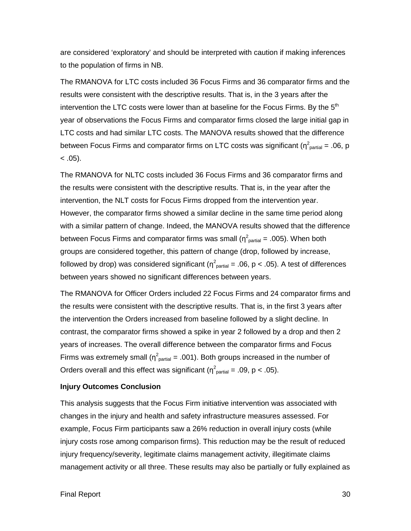are considered 'exploratory' and should be interpreted with caution if making inferences to the population of firms in NB.

The RMANOVA for LTC costs included 36 Focus Firms and 36 comparator firms and the results were consistent with the descriptive results. That is, in the 3 years after the intervention the LTC costs were lower than at baseline for the Focus Firms. By the  $5<sup>th</sup>$ year of observations the Focus Firms and comparator firms closed the large initial gap in LTC costs and had similar LTC costs. The MANOVA results showed that the difference between Focus Firms and comparator firms on LTC costs was significant ( $\eta^2$ <sub>partial</sub> = .06, p  $< .05$ ).

The RMANOVA for NLTC costs included 36 Focus Firms and 36 comparator firms and the results were consistent with the descriptive results. That is, in the year after the intervention, the NLT costs for Focus Firms dropped from the intervention year. However, the comparator firms showed a similar decline in the same time period along with a similar pattern of change. Indeed, the MANOVA results showed that the difference between Focus Firms and comparator firms was small ( $\eta^2$ <sub>partial</sub> = .005). When both groups are considered together, this pattern of change (drop, followed by increase, followed by drop) was considered significant ( $\eta^2$ <sub>partial</sub> = .06, p < .05). A test of differences between years showed no significant differences between years.

The RMANOVA for Officer Orders included 22 Focus Firms and 24 comparator firms and the results were consistent with the descriptive results. That is, in the first 3 years after the intervention the Orders increased from baseline followed by a slight decline. In contrast, the comparator firms showed a spike in year 2 followed by a drop and then 2 years of increases. The overall difference between the comparator firms and Focus Firms was extremely small ( $\eta^2$ <sub>partial</sub> = .001). Both groups increased in the number of Orders overall and this effect was significant ( $\eta^2$ <sub>partial</sub> = .09, p < .05).

#### **Injury Outcomes Conclusion**

This analysis suggests that the Focus Firm initiative intervention was associated with changes in the injury and health and safety infrastructure measures assessed. For example, Focus Firm participants saw a 26% reduction in overall injury costs (while injury costs rose among comparison firms). This reduction may be the result of reduced injury frequency/severity, legitimate claims management activity, illegitimate claims management activity or all three. These results may also be partially or fully explained as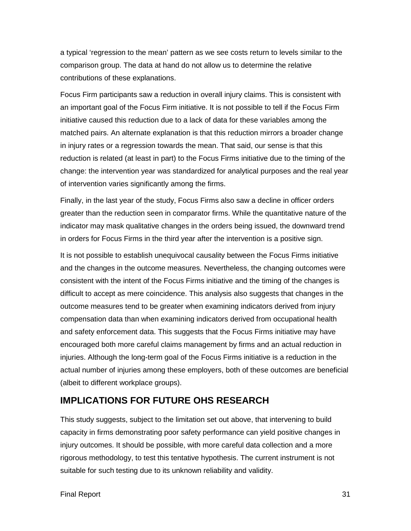a typical 'regression to the mean' pattern as we see costs return to levels similar to the comparison group. The data at hand do not allow us to determine the relative contributions of these explanations.

Focus Firm participants saw a reduction in overall injury claims. This is consistent with an important goal of the Focus Firm initiative. It is not possible to tell if the Focus Firm initiative caused this reduction due to a lack of data for these variables among the matched pairs. An alternate explanation is that this reduction mirrors a broader change in injury rates or a regression towards the mean. That said, our sense is that this reduction is related (at least in part) to the Focus Firms initiative due to the timing of the change: the intervention year was standardized for analytical purposes and the real year of intervention varies significantly among the firms.

Finally, in the last year of the study, Focus Firms also saw a decline in officer orders greater than the reduction seen in comparator firms. While the quantitative nature of the indicator may mask qualitative changes in the orders being issued, the downward trend in orders for Focus Firms in the third year after the intervention is a positive sign.

It is not possible to establish unequivocal causality between the Focus Firms initiative and the changes in the outcome measures. Nevertheless, the changing outcomes were consistent with the intent of the Focus Firms initiative and the timing of the changes is difficult to accept as mere coincidence. This analysis also suggests that changes in the outcome measures tend to be greater when examining indicators derived from injury compensation data than when examining indicators derived from occupational health and safety enforcement data. This suggests that the Focus Firms initiative may have encouraged both more careful claims management by firms and an actual reduction in injuries. Although the long-term goal of the Focus Firms initiative is a reduction in the actual number of injuries among these employers, both of these outcomes are beneficial (albeit to different workplace groups).

## **IMPLICATIONS FOR FUTURE OHS RESEARCH**

This study suggests, subject to the limitation set out above, that intervening to build capacity in firms demonstrating poor safety performance can yield positive changes in injury outcomes. It should be possible, with more careful data collection and a more rigorous methodology, to test this tentative hypothesis. The current instrument is not suitable for such testing due to its unknown reliability and validity.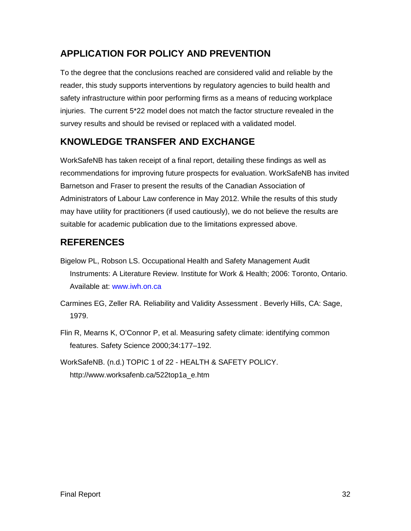## **APPLICATION FOR POLICY AND PREVENTION**

To the degree that the conclusions reached are considered valid and reliable by the reader, this study supports interventions by regulatory agencies to build health and safety infrastructure within poor performing firms as a means of reducing workplace injuries. The current 5\*22 model does not match the factor structure revealed in the survey results and should be revised or replaced with a validated model.

## **KNOWLEDGE TRANSFER AND EXCHANGE**

WorkSafeNB has taken receipt of a final report, detailing these findings as well as recommendations for improving future prospects for evaluation. WorkSafeNB has invited Barnetson and Fraser to present the results of the Canadian Association of Administrators of Labour Law conference in May 2012. While the results of this study may have utility for practitioners (if used cautiously), we do not believe the results are suitable for academic publication due to the limitations expressed above.

## **REFERENCES**

Bigelow PL, Robson LS. Occupational Health and Safety Management Audit Instruments: A Literature Review. Institute for Work & Health; 2006: Toronto, Ontario. Available at: www.iwh.on.ca

Carmines EG, Zeller RA. Reliability and Validity Assessment . Beverly Hills, CA: Sage, 1979.

Flin R, Mearns K, O'Connor P, et al. Measuring safety climate: identifying common features. Safety Science 2000;34:177–192.

WorkSafeNB. (n.d.) TOPIC 1 of 22 - HEALTH & SAFETY POLICY. http://www.worksafenb.ca/522top1a\_e.htm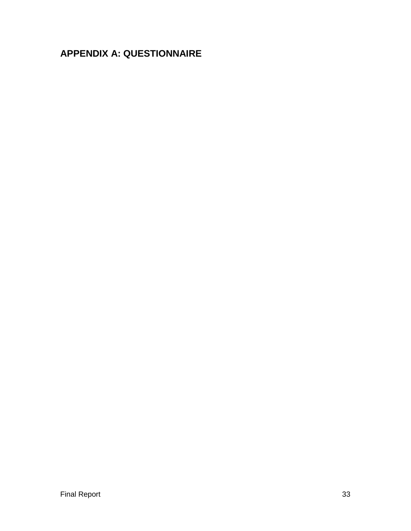## **APPENDIX A: QUESTIONNAIRE**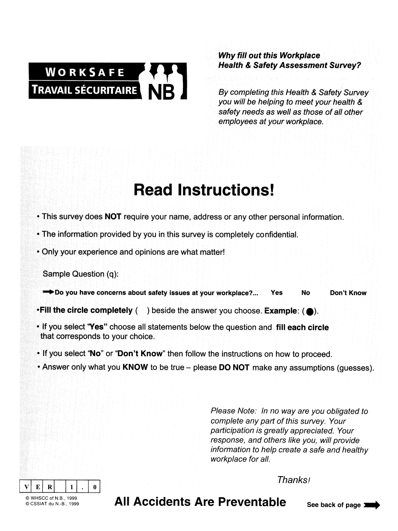# WORKSAFE **TRAVAIL SÉCURITAIRE**

**Why fill out this Workplace Health & Safety Assessment Survey?** 

By completing this Health & Safety Survey you will be helping to meet your health & safety needs as well as those of all other employees at your workplace.

## **Read Instructions!**

- This survey does NOT require your name, address or any other personal information.
- The information provided by you in this survey is completely confidential.
- . Only your experience and opinions are what matter!

Do you have concerns about safety issues at your workplace?... Don't Know Yes **No** 

- Fill the circle completely () beside the answer you choose. Example: ( $\bullet$ ).
- . If you select "Yes" choose all statements below the question and fill each circle that corresponds to your choice.
- . If you select "No" or "Don't Know" then follow the instructions on how to proceed.
- Answer only what you KNOW to be true please DO NOT make any assumptions (quesses).

Please Note: In no way are you obligated to complete any part of this survey. Your participation is greatly appreciated. Your response, and others like you, will provide information to help create a safe and healthy workplace for all.

**Thanksl** 

 $\overline{\mathbf{R}}$  $E$  $\mathbf{0}$ © WHSCC of N.B., 1999 @CSSIAT du N-R 1999

All Accidents Are Preventable

Sample Question (q):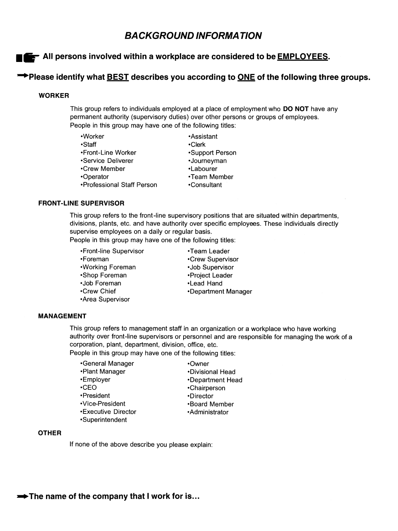## **BACKGROUND INFORMATION**

#### All persons involved within a workplace are considered to be **EMPLOYEES**.

#### → Please identify what BEST describes you according to ONE of the following three groups.

#### **WORKER**

This group refers to individuals employed at a place of employment who DO NOT have any permanent authority (supervisory duties) over other persons or groups of employees. People in this group may have one of the following titles:

| •Worker                    | •Assistant      |
|----------------------------|-----------------|
| •Staff                     | •Clerk          |
| •Front-Line Worker         | •Support Person |
| •Service Deliverer         | ·Journeyman     |
| •Crew Member               | •Labourer       |
| •Operator                  | •Team Member    |
| •Professional Staff Person | •Consultant     |

#### **FRONT-LINE SUPERVISOR**

This group refers to the front-line supervisory positions that are situated within departments. divisions, plants, etc. and have authority over specific employees. These individuals directly supervise employees on a daily or regular basis.

People in this group may have one of the following titles:

•Front-line Supervisor •Foreman •Working Foreman •Shop Foreman ·Job Foreman •Crew Chief •Area Supervisor

•Team Leader •Crew Supervisor •Job Supervisor •Project Leader •Lead Hand •Department Manager

#### **MANAGEMENT**

This group refers to management staff in an organization or a workplace who have working authority over front-line supervisors or personnel and are responsible for managing the work of a corporation, plant, department, division, office, etc.

People in this group may have one of the following titles:

| •General Manager    | •Owner           |
|---------------------|------------------|
| •Plant Manager      | •Divisional Head |
| •Employer           | •Department Head |
| $\cdot$ CFO         | •Chairperson     |
| •President          | •Director        |
| •Vice-President     | •Board Member    |
| •Executive Director | •Administrator   |
| •Superintendent     |                  |

#### **OTHER**

If none of the above describe you please explain: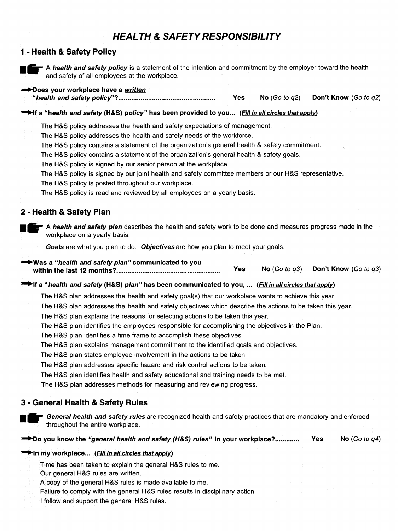## **HEALTH & SAFETY RESPONSIBILITY**

#### 1 - Health & Safety Policy

![](_page_37_Picture_2.jpeg)

A health and safety policy is a statement of the intention and commitment by the employer toward the health and safety of all employees at the workplace.

#### Does your workplace have a written

**Yes** No  $(Go \ to \ q2)$ Don't Know (Go to q2)

#### This a "health and safety (H&S) policy" has been provided to you... (Fill in all circles that apply)

The H&S policy addresses the health and safety expectations of management.

The H&S policy addresses the health and safety needs of the workforce.

The H&S policy contains a statement of the organization's general health & safety commitment.

The H&S policy contains a statement of the organization's general health & safety goals.

The H&S policy is signed by our senior person at the workplace.

The H&S policy is signed by our joint health and safety committee members or our H&S representative.

The H&S policy is posted throughout our workplace.

The H&S policy is read and reviewed by all employees on a yearly basis.

#### 2 - Health & Safety Plan

A health and safety plan describes the health and safety work to be done and measures progress made in the workplace on a yearly basis.

Goals are what you plan to do. Objectives are how you plan to meet your goals.

#### Was a "health and safety plan" communicated to you No  $(Go to q3)$ Don't Know (Go to q3) **Yes**

#### If a "health and safety (H&S) plan" has been communicated to you, ... (Fill in all circles that apply)

The H&S plan addresses the health and safety goal(s) that our workplace wants to achieve this year.

The H&S plan addresses the health and safety objectives which describe the actions to be taken this year.

The H&S plan explains the reasons for selecting actions to be taken this year.

- The H&S plan identifies the employees responsible for accomplishing the objectives in the Plan.
- The H&S plan identifies a time frame to accomplish these objectives.
- The H&S plan explains management commitment to the identified goals and objectives.

The H&S plan states employee involvement in the actions to be taken.

The H&S plan addresses specific hazard and risk control actions to be taken.

The H&S plan identifies health and safety educational and training needs to be met.

The H&S plan addresses methods for measuring and reviewing progress.

#### 3 - General Health & Safety Rules

![](_page_37_Picture_31.jpeg)

**F** General health and safety rules are recognized health and safety practices that are mandatory and enforced throughout the entire workplace.

**→→Do you know the "general health and safety (H&S) rules" in your workplace?............. Yes** No  $(Got \ to \ q4)$ 

#### In my workplace... (Fill in all circles that apply)

Time has been taken to explain the general H&S rules to me.

Our general H&S rules are written.

- A copy of the general H&S rules is made available to me.
- Failure to comply with the general H&S rules results in disciplinary action.

I follow and support the general H&S rules.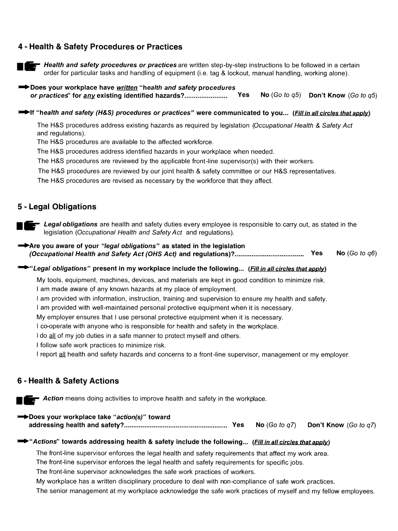#### 4 - Health & Safety Procedures or Practices

![](_page_38_Picture_1.jpeg)

Health and safety procedures or practices are written step-by-step instructions to be followed in a certain order for particular tasks and handling of equipment (i.e. tag & lockout, manual handling, working alone).

Does your workplace have written "health and safety procedures" No  $(Go to q5)$  Don't Know  $(Go to q5)$ 

#### This "health and safety (H&S) procedures or practices" were communicated to you... (Fill in all circles that apply)

The H&S procedures address existing hazards as required by legislation (Occupational Health & Safety Act and regulations).

The H&S procedures are available to the affected workforce.

The H&S procedures address identified hazards in your workplace when needed.

The H&S procedures are reviewed by the applicable front-line supervisor(s) with their workers.

The H&S procedures are reviewed by our joint health & safety committee or our H&S representatives.

The H&S procedures are revised as necessary by the workforce that they affect.

#### 5 - Legal Obligations

**Example 2** Legal obligations are health and safety duties every employee is responsible to carry out, as stated in the legislation (Occupational Health and Safety Act and regulations).

Are you aware of your "legal obligations" as stated in the legislation No (Go to  $q6$ )

#### Egal obligations" present in my workplace include the following... (Fill in all circles that apply)

My tools, equipment, machines, devices, and materials are kept in good condition to minimize risk. I am made aware of any known hazards at my place of employment.

I am provided with information, instruction, training and supervision to ensure my health and safety.

I am provided with well-maintained personal protective equipment when it is necessary.

My employer ensures that I use personal protective equipment when it is necessary.

I co-operate with anyone who is responsible for health and safety in the workplace.

I do all of my job duties in a safe manner to protect myself and others.

I follow safe work practices to minimize risk.

I report all health and safety hazards and concerns to a front-line supervisor, management or my employer.

#### 6 - Health & Safety Actions

**Example:** Action means doing activities to improve health and safety in the workplace.

| Does your workplace take "action(s)" toward |  |                                                         |
|---------------------------------------------|--|---------------------------------------------------------|
|                                             |  | <b>No</b> (Go to $q7$ ) <b>Don't Know</b> (Go to $q7$ ) |

#### Actions" towards addressing health & safety include the following... (Fill in all circles that apply)

The front-line supervisor enforces the legal health and safety requirements that affect my work area.

The front-line supervisor enforces the legal health and safety requirements for specific jobs.

The front-line supervisor acknowledges the safe work practices of workers.

My workplace has a written disciplinary procedure to deal with non-compliance of safe work practices.

The senior management at my workplace acknowledge the safe work practices of myself and my fellow employees.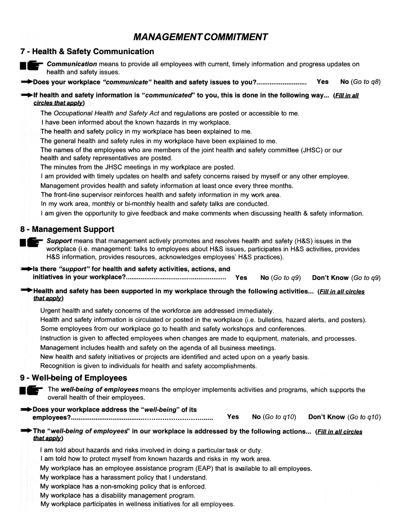## **MANAGEMENT COMMITMENT**

#### 7 - Health & Safety Communication

**Communication** means to provide all employees with current, timely information and progress updates on health and safety issues.

**Yes** No  $(Go to a8)$ 

#### if health and safety information is "communicated" to you, this is done in the following way... (Fill in all circles that apply)

The Occupational Health and Safety Act and regulations are posted or accessible to me.

I have been informed about the known hazards in my workplace.

The health and safety policy in my workplace has been explained to me.

The general health and safety rules in my workplace have been explained to me.

The names of the employees who are members of the joint health and safety committee (JHSC) or our health and safety representatives are posted.

The minutes from the JHSC meetings in my workplace are posted.

I am provided with timely updates on health and safety concerns raised by myself or any other employee.

Management provides health and safety information at least once every three months.

The front-line supervisor reinforces health and safety information in my work area.

In my work area, monthly or bi-monthly health and safety talks are conducted.

I am given the opportunity to give feedback and make comments when discussing health & safety information.

#### 8 - Management Support

**Exterm** Support means that management actively promotes and resolves health and safety (H&S) issues in the workplace (i.e. management: talks to employees about H&S issues, participates in H&S activities, provides H&S information, provides resources, acknowledges employees' H&S practices).

Solis there "support" for health and safety activities, actions, and **Yes** No (Go to  $q9$ ) Don't Know (Go to q9)

#### Health and safety has been supported in my workplace through the following activities... (Fill in all circles that apply)

Urgent health and safety concerns of the workforce are addressed immediately.

- Health and safety information is circulated or posted in the workplace (i.e. bulletins, hazard alerts, and posters). Some employees from our workplace go to health and safety workshops and conferences.
- Instruction is given to affected employees when changes are made to equipment, materials, and processes.

Management includes health and safety on the agenda of all business meetings.

New health and safety initiatives or projects are identified and acted upon on a yearly basis.

Recognition is given to individuals for health and safety accomplishments.

#### 9 - Well-being of Employees

The well-being of employees means the employer implements activities and programs, which supports the overall health of their employees.

#### Does your workplace address the "well-being" of its

No  $(Go \ to \ q10)$ **Yes** Don't Know (Go to a10) 

#### The "well-being of employees" in our workplace is addressed by the following actions... (Fill in all circles that apply)

I am told about hazards and risks involved in doing a particular task or duty.

I am told how to protect myself from known hazards and risks in my work area.

My workplace has an employee assistance program (EAP) that is available to all employees.

My workplace has a harassment policy that I understand.

My workplace has a non-smoking policy that is enforced.

My workplace has a disability management program.

My workplace participates in wellness initiatives for all employees.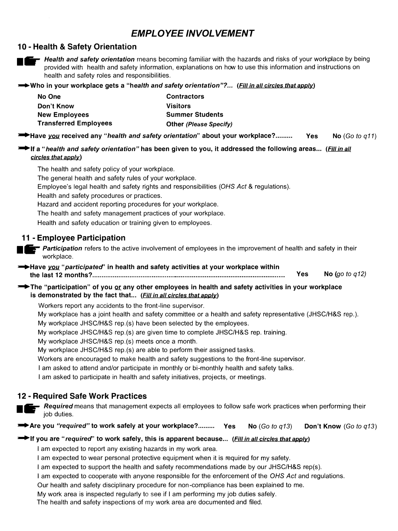## **EMPLOYEE INVOLVEMENT**

#### 10 - Health & Safety Orientation

![](_page_40_Picture_2.jpeg)

Health and safety orientation means becoming familiar with the hazards and risks of your workplace by being provided with health and safety information, explanations on how to use this information and instructions on health and safety roles and responsibilities.

→ Who in your workplace gets a "health and safety orientation"?... (Fill in all circles that apply)

| No One                       | <b>Contractors</b>            |
|------------------------------|-------------------------------|
| Don't Know                   | <b>Visitors</b>               |
| <b>New Employees</b>         | <b>Summer Students</b>        |
| <b>Transferred Employees</b> | <b>Other (Please Specify)</b> |

**EXAMPLE 19 Have you received any "health and safety orientation" about your workplace?......... Yes** No (Go to  $q11$ )

<sup>■■</sup>If a "*health and safety orientation"* has been given to you, it addressed the following areas... (Fill in all circles that apply)

The health and safety policy of your workplace. The general health and safety rules of your workplace.

Employee's legal health and safety rights and responsibilities (OHS Act & regulations).

Health and safety procedures or practices.

Hazard and accident reporting procedures for your workplace.

The health and safety management practices of your workplace.

Health and safety education or training given to employees.

#### 11 - Emplovee Participation

**E-** Participation refers to the active involvement of employees in the improvement of health and safety in their workplace.

→ Have you "participated" in health and safety activities at your workplace within **Yes** No (go to  $q12$ ) 

The "participation" of you or any other employees in health and safety activities in your workplace is demonstrated by the fact that... (Fill in all circles that apply)

Workers report any accidents to the front-line supervisor.

My workplace has a joint health and safety committee or a health and safety representative (JHSC/H&S rep.).

My workplace JHSC/H&S rep.(s) have been selected by the employees.

My workplace JHSC/H&S rep.(s) are given time to complete JHSC/H&S rep. training.

My workplace JHSC/H&S rep.(s) meets once a month.

My workplace JHSC/H&S rep.(s) are able to perform their assigned tasks.

Workers are encouraged to make health and safety suggestions to the front-line supervisor.

I am asked to attend and/or participate in monthly or bi-monthly health and safety talks.

I am asked to participate in health and safety initiatives, projects, or meetings.

#### **12 - Required Safe Work Practices**

- Required means that management expects all employees to follow safe work practices when performing their iob duties.

Are you "required" to work safely at your workplace?.......... Yes No  $(Go to q13)$ Don't Know (Go to q13)

#### If you are "required" to work safely, this is apparent because... (Fill in all circles that apply)

I am expected to report any existing hazards in my work area.

I am expected to wear personal protective equipment when it is required for my safety.

I am expected to support the health and safety recommendations made by our JHSC/H&S rep(s).

I am expected to cooperate with anyone responsible for the enforcement of the OHS Act and regulations.

Our health and safety disciplinary procedure for non-compliance has been explained to me.

My work area is inspected reqularly to see if I am performing my job duties safely.

The health and safety inspections of my work area are documented and filed.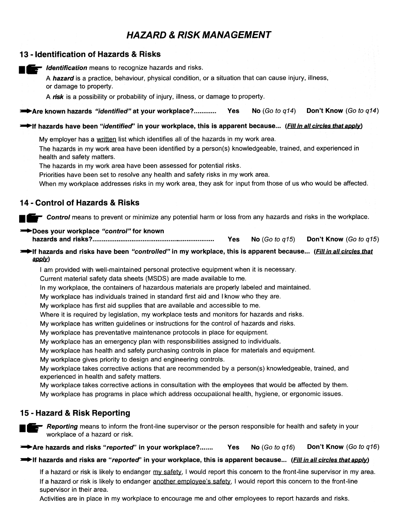## **HAZARD & RISK MANAGEMENT**

#### 13 - Identification of Hazards & Risks

dentification means to recognize hazards and risks.

A hazard is a practice, behaviour, physical condition, or a situation that can cause injury, illness, or damage to property.

A risk is a possibility or probability of injury, illness, or damage to property.

Don't Know (Go to q14) Are known hazards "identified" at your workplace?............. No (Go to  $q14$ ) Yes

#### f hazards have been "identified" in your workplace, this is apparent because... (Fill in all circles that apply)

My employer has a written list which identifies all of the hazards in my work area.

The hazards in my work area have been identified by a person(s) knowledgeable, trained, and experienced in health and safety matters.

The hazards in my work area have been assessed for potential risks.

Priorities have been set to resolve any health and safety risks in my work area.

When my workplace addresses risks in my work area, they ask for input from those of us who would be affected.

#### 14 - Control of Hazards & Risks

**Example 2** Control means to prevent or minimize any potential harm or loss from any hazards and risks in the workplace.

#### Does your workplace "control" for known

**Yes** No  $(Go to q15)$ Don't Know (Go to g15)

#### If hazards and risks have been "controlled" in my workplace, this is apparent because... (Fill in all circles that  $app(y)$

I am provided with well-maintained personal protective equipment when it is necessary.

Current material safety data sheets (MSDS) are made available to me.

In my workplace, the containers of hazardous materials are properly labeled and maintained.

My workplace has individuals trained in standard first aid and I know who they are.

My workplace has first aid supplies that are available and accessible to me.

Where it is required by legislation, my workplace tests and monitors for hazards and risks.

My workplace has written guidelines or instructions for the control of hazards and risks.

My workplace has preventative maintenance protocols in place for equipment.

My workplace has an emergency plan with responsibilities assigned to individuals.

My workplace has health and safety purchasing controls in place for materials and equipment.

My workplace gives priority to design and engineering controls.

My workplace takes corrective actions that are recommended by a person(s) knowledgeable, trained, and experienced in health and safety matters.

My workplace takes corrective actions in consultation with the employees that would be affected by them. My workplace has programs in place which address occupational health, hygiene, or ergonomic issues.

#### 15 - Hazard & Risk Reporting

**Example 2** Reporting means to inform the front-line supervisor or the person responsible for health and safety in your workplace of a hazard or risk.

Are hazards and risks "reported" in your workplace?....... No  $(Go \ to \ a16)$ Don't Know (Go to q16) Yes

#### If hazards and risks are "reported" in your workplace, this is apparent because... (Fill in all circles that apply)

If a hazard or risk is likely to endanger my safety, I would report this concern to the front-line supervisor in my area. If a hazard or risk is likely to endanger another employee's safety, I would report this concern to the front-line supervisor in their area.

Activities are in place in my workplace to encourage me and other employees to report hazards and risks.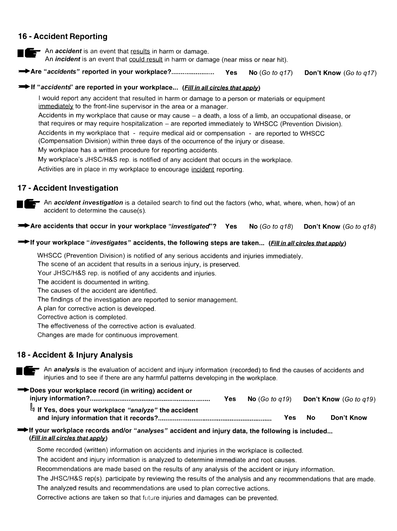#### 16 - Accident Reporting

An *accident* is an event that results in harm or damage. An *incident* is an event that could result in harm or damage (near miss or near hit).

**Yes** No (Go to  $q17$ ) Don't Know (Go to q17)

#### if "accidents" are reported in your workplace... (Fill in all circles that apply)

I would report any accident that resulted in harm or damage to a person or materials or equipment immediately to the front-line supervisor in the area or a manager.

Accidents in my workplace that cause or may cause – a death, a loss of a limb, an occupational disease, or that requires or may require hospitalization – are reported immediately to WHSCC (Prevention Division).

Accidents in my workplace that - require medical aid or compensation - are reported to WHSCC

(Compensation Division) within three days of the occurrence of the injury or disease.

My workplace has a written procedure for reporting accidents.

My workplace's JHSC/H&S rep. is notified of any accident that occurs in the workplace.

Activities are in place in my workplace to encourage incident reporting.

#### 17 - Accident Investigation

![](_page_42_Picture_13.jpeg)

An accident investigation is a detailed search to find out the factors (who, what, where, when, how) of an accident to determine the cause(s).

Are accidents that occur in your workplace "investigated"? No  $(Go to q18)$ **Yes** Don't Know (Go to a18)

#### The If your workplace "investigates" accidents, the following steps are taken... (Fill in all circles that apply)

WHSCC (Prevention Division) is notified of any serious accidents and injuries immediately.

The scene of an accident that results in a serious injury, is preserved.

Your JHSC/H&S rep. is notified of any accidents and injuries.

The accident is documented in writing.

The causes of the accident are identified.

The findings of the investigation are reported to senior management.

A plan for corrective action is developed.

Corrective action is completed.

The effectiveness of the corrective action is evaluated.

Changes are made for continuous improvement.

#### 18 - Accident & Injury Analysis

An analysis is the evaluation of accident and injury information (recorded) to find the causes of accidents and injuries and to see if there are any harmful patterns developing in the workplace.

#### Does your workplace record (in writing) accident or

|                                                      | <b>Yes</b> | <b>No</b> (Go to $q19$ ) |     |    | <b>Don't Know</b> (Go to $q19$ ) |
|------------------------------------------------------|------------|--------------------------|-----|----|----------------------------------|
| H If Yes, does your workplace "analyze" the accident |            |                          |     |    |                                  |
|                                                      |            |                          | Yes | No | Don't Know                       |

#### → If your workplace records and/or "analyses" accident and injury data, the following is included... (Fill in all circles that apply)

Some recorded (written) information on accidents and injuries in the workplace is collected.

The accident and injury information is analyzed to determine immediate and root causes.

Recommendations are made based on the results of any analysis of the accident or injury information.

The JHSC/H&S rep(s). participate by reviewing the results of the analysis and any recommendations that are made. The analyzed results and recommendations are used to plan corrective actions.

Corrective actions are taken so that future injuries and damages can be prevented.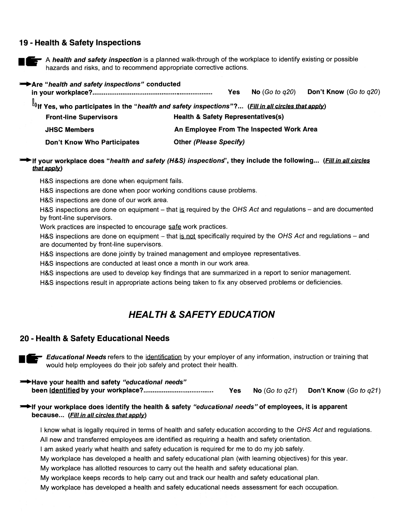#### 19 - Health & Safety Inspections

![](_page_43_Picture_1.jpeg)

A health and safety inspection is a planned walk-through of the workplace to identify existing or possible hazards and risks, and to recommend appropriate corrective actions.

Are "health and safety inspections" conducted No  $(Go to q20)$ Don't Know (Go to q20) **Yes** r Yes, who participates in the "*health and safety inspections"*?... (Fill in all circles that apply) المطا **Health & Safety Representatives(s) Front-line Supervisors JHSC Members** An Employee From The Inspected Work Area Don't Know Who Participates **Other (Please Specify)** 

#### ► If your workplace does "health and safety (H&S) inspections", they include the following... (Fill in all circles that apply)

H&S inspections are done when equipment fails.

H&S inspections are done when poor working conditions cause problems.

H&S inspections are done of our work area.

H&S inspections are done on equipment – that is required by the OHS Act and regulations – and are documented by front-line supervisors.

Work practices are inspected to encourage safe work practices.

H&S inspections are done on equipment – that is not specifically required by the OHS Act and regulations – and are documented by front-line supervisors.

H&S inspections are done jointly by trained management and employee representatives.

H&S inspections are conducted at least once a month in our work area.

H&S inspections are used to develop key findings that are summarized in a report to senior management.

H&S inspections result in appropriate actions being taken to fix any observed problems or deficiencies.

## **HEALTH & SAFETY EDUCATION**

#### 20 - Health & Safety Educational Needs

Educational Needs refers to the identification by your employer of any information, instruction or training that would help employees do their job safely and protect their health.

Have your health and safety "educational needs" **Yes** No  $(Go \ to \ q21)$ Don't Know (Go to q21)

#### ighthrour workplace does identify the health & safety "educational needs" of employees, it is apparent because... (Fill in all circles that apply)

I know what is legally required in terms of health and safety education according to the OHS Act and regulations. All new and transferred employees are identified as requiring a health and safety orientation.

I am asked yearly what health and safety education is required for me to do my job safely.

My workplace has developed a health and safety educational plan (with learning objectives) for this year.

My workplace has allotted resources to carry out the health and safety educational plan.

My workplace keeps records to help carry out and track our health and safety educational plan.

My workplace has developed a health and safety educational needs assessment for each occupation.